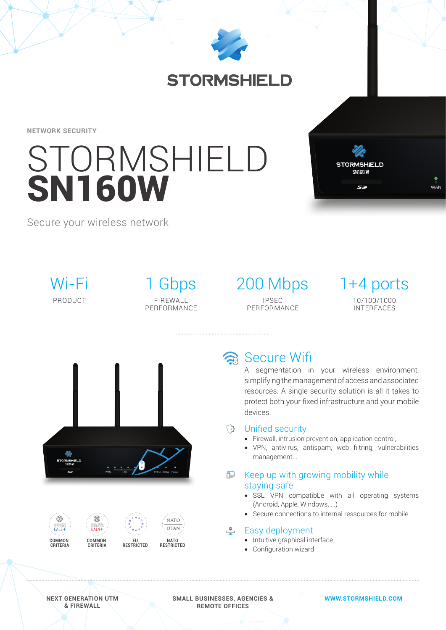

## **STORMSHIELD**

**NETWORK SECURITY**

# **STORMSHIELD** SN160W



Secure your wireless network

Wi-Fi PRODUCT

1 Gbps FIREWALL PERFORMANCE 200 Mbps 1+4 ports IPSEC PERFORMANCE

10/100/1000 INTERFACES





## a Secure Wifi

A segmentation in your wireless environment, simplifying the management of access and associated resources. A single security solution is all it takes to protect both your fixed infrastructure and your mobile devices.

### **B** Unified security

- Firewall, intrusion prevention, application control.
- VPN, antivirus, antispam, web filtring, vulnerabilities management...

#### **ட** Keep up with growing mobility while staying safe

- SSL VPN compatibLe with all operating systems (Android, Apple, Windows, ...)
- Secure connections to internal ressources for mobile

#### $^{\circ}$ Easy deployment

- Intuitive graphical interface
- Configuration wizard

**NEXT GENERATION UTM & FIREWALL**

**SMALL BUSINESSES, AGENCIES & REMOTE OFFICES**

**WWW.STORMSHIELD.COM**